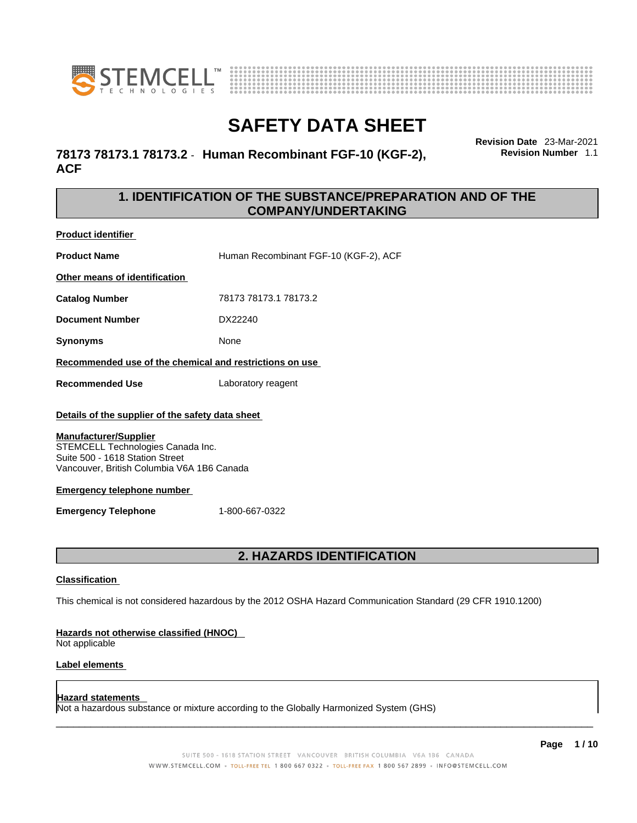



**Revision Date** 23-Mar-2021

**Revision Number** 1.1

## **SAFETY DATA SHEET**

**78173 78173.1 78173.2** - **Human Recombinant FGF-10 (KGF-2), ACF** 

### **1. IDENTIFICATION OF THE SUBSTANCE/PREPARATION AND OF THE COMPANY/UNDERTAKING**

**Product identifier**

**Product Name Human Recombinant FGF-10 (KGF-2), ACF Other means of identification Catalog Number** 78173 78173.1 78173.2

**Document Number** DX22240

**Synonyms** None

**Recommended use of the chemical and restrictions on use**

**Recommended Use** Laboratory reagent

### **Details of the supplier of the safety data sheet**

### **Manufacturer/Supplier**

STEMCELL Technologies Canada Inc. Suite 500 - 1618 Station Street Vancouver, British Columbia V6A 1B6 Canada

### **Emergency telephone number**

**Emergency Telephone** 1-800-667-0322

### **2. HAZARDS IDENTIFICATION**

### **Classification**

This chemical is not considered hazardous by the 2012 OSHA Hazard Communication Standard (29 CFR 1910.1200)

### **Hazards not otherwise classified (HNOC)**

Not applicable

### **Label elements**

### **Hazard statements**

Not a hazardous substance or mixture according to the Globally Harmonized System (GHS)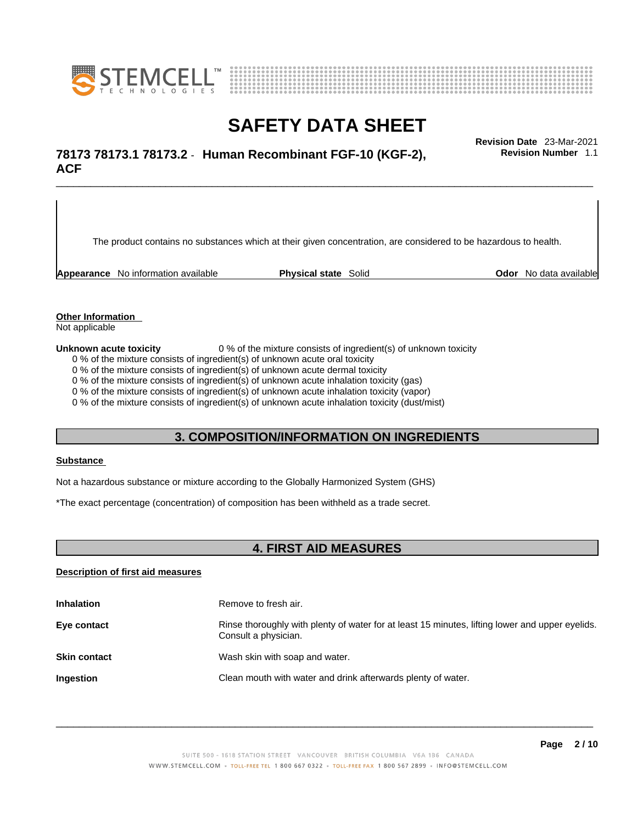



## \_\_\_\_\_\_\_\_\_\_\_\_\_\_\_\_\_\_\_\_\_\_\_\_\_\_\_\_\_\_\_\_\_\_\_\_\_\_\_\_\_\_\_\_\_\_\_\_\_\_\_\_\_\_\_\_\_\_\_\_\_\_\_\_\_\_\_\_\_\_\_\_\_\_\_\_\_\_\_\_\_\_\_\_\_\_\_\_\_\_\_\_\_ **Revision Date** 23-Mar-2021 **78173 78173.1 78173.2** - **Human Recombinant FGF-10 (KGF-2), ACF**

The product contains no substances which at their given concentration, are considered to be hazardous to health.

**Appearance** No information available **Physical state** Solid **Odor No data available** 

**Revision Number** 1.1

**Other Information** 

Not applicable

**Unknown acute toxicity** 0 % of the mixture consists of ingredient(s) of unknown toxicity

0 % of the mixture consists of ingredient(s) of unknown acute oral toxicity

0 % of the mixture consists of ingredient(s) of unknown acute dermal toxicity

0 % of the mixture consists of ingredient(s) of unknown acute inhalation toxicity (gas)

0 % of the mixture consists of ingredient(s) of unknown acute inhalation toxicity (vapor)

0 % of the mixture consists of ingredient(s) of unknown acute inhalation toxicity (dust/mist)

### **3. COMPOSITION/INFORMATION ON INGREDIENTS**

#### **Substance**

Not a hazardous substance or mixture according to the Globally Harmonized System (GHS)

\*The exact percentage (concentration) of composition has been withheld as a trade secret.

### **4. FIRST AID MEASURES**

### **Description of first aid measures**

| <b>Inhalation</b>   | Remove to fresh air.                                                                                                    |
|---------------------|-------------------------------------------------------------------------------------------------------------------------|
| Eye contact         | Rinse thoroughly with plenty of water for at least 15 minutes, lifting lower and upper eyelids.<br>Consult a physician. |
| <b>Skin contact</b> | Wash skin with soap and water.                                                                                          |
| Ingestion           | Clean mouth with water and drink afterwards plenty of water.                                                            |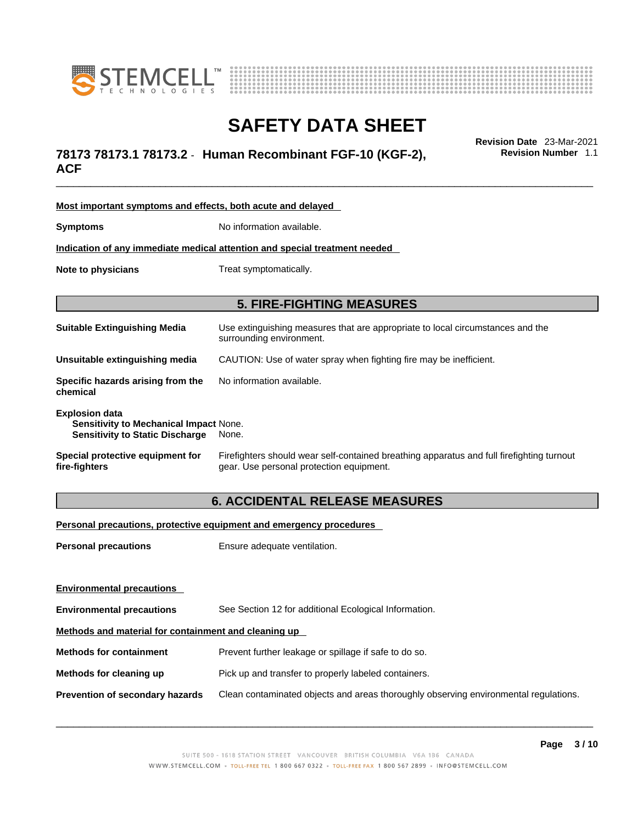



## \_\_\_\_\_\_\_\_\_\_\_\_\_\_\_\_\_\_\_\_\_\_\_\_\_\_\_\_\_\_\_\_\_\_\_\_\_\_\_\_\_\_\_\_\_\_\_\_\_\_\_\_\_\_\_\_\_\_\_\_\_\_\_\_\_\_\_\_\_\_\_\_\_\_\_\_\_\_\_\_\_\_\_\_\_\_\_\_\_\_\_\_\_ **Revision Date** 23-Mar-2021 **78173 78173.1 78173.2** - **Human Recombinant FGF-10 (KGF-2), ACF**

**Revision Number** 1.1

| Most important symptoms and effects, both acute and delayed                                                      |                                                                                                                                       |  |
|------------------------------------------------------------------------------------------------------------------|---------------------------------------------------------------------------------------------------------------------------------------|--|
| <b>Symptoms</b>                                                                                                  | No information available.                                                                                                             |  |
| Indication of any immediate medical attention and special treatment needed                                       |                                                                                                                                       |  |
| Note to physicians                                                                                               | Treat symptomatically.                                                                                                                |  |
| <b>5. FIRE-FIGHTING MEASURES</b>                                                                                 |                                                                                                                                       |  |
|                                                                                                                  |                                                                                                                                       |  |
| <b>Suitable Extinguishing Media</b>                                                                              | Use extinguishing measures that are appropriate to local circumstances and the<br>surrounding environment.                            |  |
| Unsuitable extinguishing media                                                                                   | CAUTION: Use of water spray when fighting fire may be inefficient.                                                                    |  |
| Specific hazards arising from the<br>chemical                                                                    | No information available.                                                                                                             |  |
| <b>Explosion data</b><br><b>Sensitivity to Mechanical Impact None.</b><br><b>Sensitivity to Static Discharge</b> | None.                                                                                                                                 |  |
| Special protective equipment for<br>fire-fighters                                                                | Firefighters should wear self-contained breathing apparatus and full firefighting turnout<br>gear. Use personal protection equipment. |  |

### **6. ACCIDENTAL RELEASE MEASURES**

**Personal precautions, protective equipment and emergency procedures**

| <b>Personal precautions</b>                          | Ensure adequate ventilation.                                                         |  |
|------------------------------------------------------|--------------------------------------------------------------------------------------|--|
|                                                      |                                                                                      |  |
| <b>Environmental precautions</b>                     |                                                                                      |  |
| <b>Environmental precautions</b>                     | See Section 12 for additional Ecological Information.                                |  |
| Methods and material for containment and cleaning up |                                                                                      |  |
| <b>Methods for containment</b>                       | Prevent further leakage or spillage if safe to do so.                                |  |
| Methods for cleaning up                              | Pick up and transfer to properly labeled containers.                                 |  |
| <b>Prevention of secondary hazards</b>               | Clean contaminated objects and areas thoroughly observing environmental regulations. |  |
|                                                      |                                                                                      |  |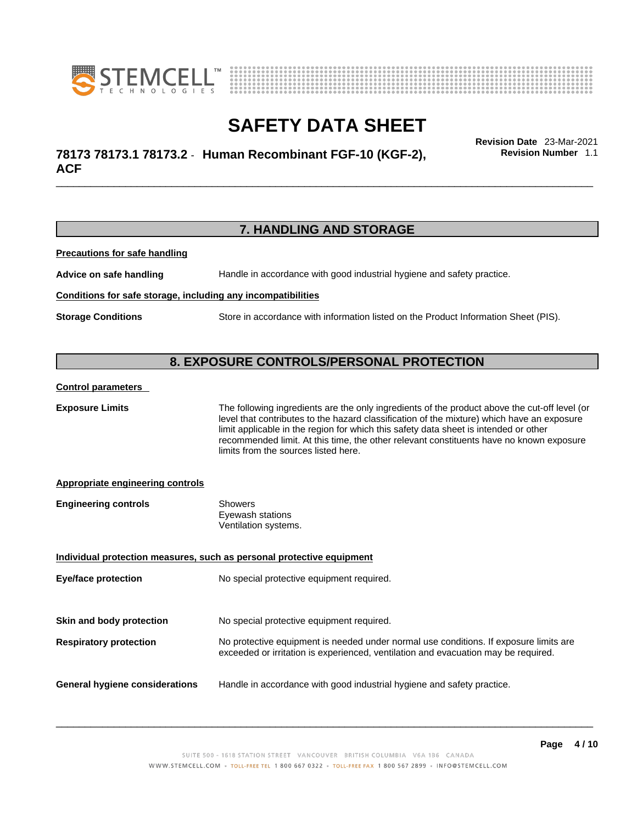



## \_\_\_\_\_\_\_\_\_\_\_\_\_\_\_\_\_\_\_\_\_\_\_\_\_\_\_\_\_\_\_\_\_\_\_\_\_\_\_\_\_\_\_\_\_\_\_\_\_\_\_\_\_\_\_\_\_\_\_\_\_\_\_\_\_\_\_\_\_\_\_\_\_\_\_\_\_\_\_\_\_\_\_\_\_\_\_\_\_\_\_\_\_ **Revision Date** 23-Mar-2021 **78173 78173.1 78173.2** - **Human Recombinant FGF-10 (KGF-2), ACF**

**Revision Number** 1.1

### **7. HANDLING AND STORAGE**

**Precautions for safe handling**

**Advice on safe handling** Handle in accordance with good industrial hygiene and safety practice.

### **Conditions for safe storage, including any incompatibilities**

**Storage Conditions** Store in accordance with information listed on the Product Information Sheet (PIS).

### **8. EXPOSURE CONTROLS/PERSONAL PROTECTION**

#### **Control parameters**

**Exposure Limits** The following ingredients are the only ingredients of the product above the cut-off level (or level that contributes to the hazard classification of the mixture) which have an exposure limit applicable in the region for which this safety data sheet is intended or other recommended limit. At this time, the other relevant constituents have no known exposure limits from the sources listed here.

### **Appropriate engineering controls**

| <b>Engineering controls</b> | Showers              |  |
|-----------------------------|----------------------|--|
|                             | Eyewash stations     |  |
|                             | Ventilation systems. |  |

| Individual protection measures, such as personal protective equipment   |                                                                                                                                                                             |  |
|-------------------------------------------------------------------------|-----------------------------------------------------------------------------------------------------------------------------------------------------------------------------|--|
| <b>Eye/face protection</b><br>No special protective equipment required. |                                                                                                                                                                             |  |
|                                                                         |                                                                                                                                                                             |  |
| Skin and body protection                                                | No special protective equipment required.                                                                                                                                   |  |
| <b>Respiratory protection</b>                                           | No protective equipment is needed under normal use conditions. If exposure limits are<br>exceeded or irritation is experienced, ventilation and evacuation may be required. |  |
| <b>General hygiene considerations</b>                                   | Handle in accordance with good industrial hygiene and safety practice.                                                                                                      |  |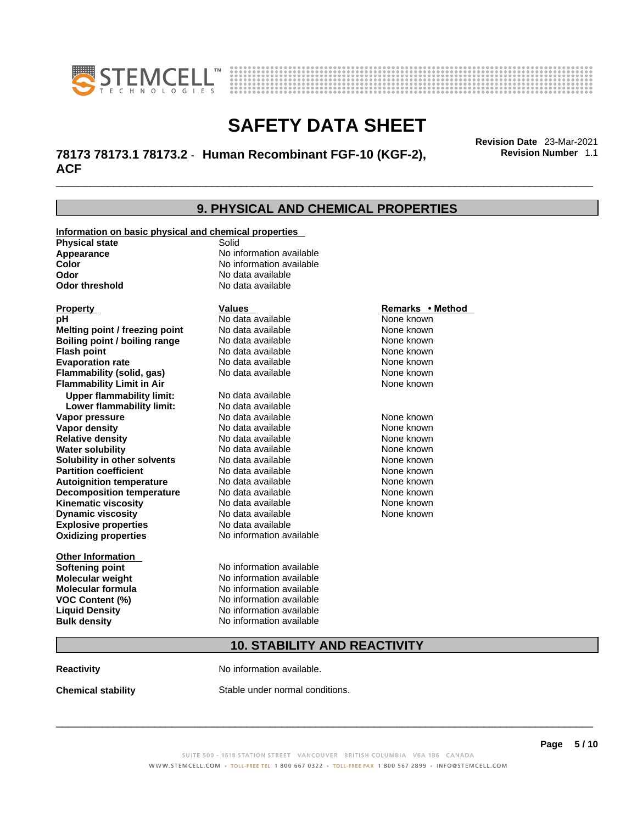



## \_\_\_\_\_\_\_\_\_\_\_\_\_\_\_\_\_\_\_\_\_\_\_\_\_\_\_\_\_\_\_\_\_\_\_\_\_\_\_\_\_\_\_\_\_\_\_\_\_\_\_\_\_\_\_\_\_\_\_\_\_\_\_\_\_\_\_\_\_\_\_\_\_\_\_\_\_\_\_\_\_\_\_\_\_\_\_\_\_\_\_\_\_ **Revision Date** 23-Mar-2021 **78173 78173.1 78173.2** - **Human Recombinant FGF-10 (KGF-2), ACF**

**9. PHYSICAL AND CHEMICAL PROPERTIES Information on basic physical and chemical properties Physical state** Solid **Appearance No information available**<br> **Color Color Color Color Color Color Color Color Color Color Color Color No** data available **Odor Constanting Codor Constanting Codor threshold Codor Constanting Codor No data available No data available Explosive properties** No data available **Oxidizing properties** No information available **Other Information Softening point** No information available **Molecular weight** No information available **Molecular formula** No information available **VOC Content (%)** No information available **Liquid Density** No information available **Property Construction Construction Construction Construction Property <b>Remarks** • **Method pH**<br> **Remarks** • **Method Property Remarks** • **Remarks** • **Method Property Remarks** • **Method Property Property Pr pH** No data available None known **Melting point / freezing point Boiling point / boiling range** No data available None known **Flash point Communist Communist Communist Communist Communist Communist Communist Communist Communist Communist Communist Communist Communist Communist Communist Communist Communist Communist Communist Communist Communi Evaporation rate** *rate* No data available **None known Flammability (solid, gas)** No data available None known **Flammability Limit in Air** None known **Upper flammability limit:** No data available **Lower flammability limit:** No data available **Vapor pressure** No data available None known **Vapor density Notata available None known Relative density No data available None known Water solubility No data available None known**<br> **Solubility in other solvents** No data available **None known** None known **Solubility in other solvents** No data available **None known**<br> **Partition coefficient** No data available None known **Partition coefficient**<br> **Autoignition temperature**<br>
No data available **Autoignition temperature No data available None known**<br> **Decomposition temperature** No data available **None known**<br>
None known **Decomposition temperature** No data available None known<br> **Kinematic viscosity** No data available None known **Kinematic viscosity No data available None known**<br> **None known**<br>
No data available **None known**<br>
None known **Dynamic viscosity** 

## **10. STABILITY AND REACTIVITY**

**Reactivity No information available.** 

**Bulk density No information available** 

**Chemical stability** Stable under normal conditions.

 $\_$  ,  $\_$  ,  $\_$  ,  $\_$  ,  $\_$  ,  $\_$  ,  $\_$  ,  $\_$  ,  $\_$  ,  $\_$  ,  $\_$  ,  $\_$  ,  $\_$  ,  $\_$  ,  $\_$  ,  $\_$  ,  $\_$  ,  $\_$  ,  $\_$  ,  $\_$  ,  $\_$  ,  $\_$  ,  $\_$  ,  $\_$  ,  $\_$  ,  $\_$  ,  $\_$  ,  $\_$  ,  $\_$  ,  $\_$  ,  $\_$  ,  $\_$  ,  $\_$  ,  $\_$  ,  $\_$  ,  $\_$  ,  $\_$  ,

**Revision Number** 1.1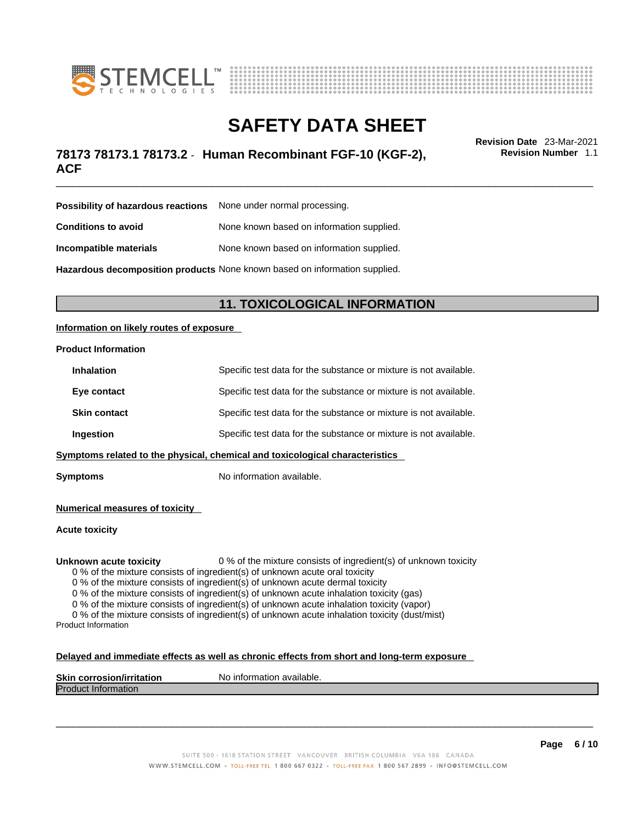



## \_\_\_\_\_\_\_\_\_\_\_\_\_\_\_\_\_\_\_\_\_\_\_\_\_\_\_\_\_\_\_\_\_\_\_\_\_\_\_\_\_\_\_\_\_\_\_\_\_\_\_\_\_\_\_\_\_\_\_\_\_\_\_\_\_\_\_\_\_\_\_\_\_\_\_\_\_\_\_\_\_\_\_\_\_\_\_\_\_\_\_\_\_ **Revision Date** 23-Mar-2021 **78173 78173.1 78173.2** - **Human Recombinant FGF-10 (KGF-2), ACF**

**Revision Number** 1.1

| <b>Possibility of hazardous reactions</b> None under normal processing. |                                                                            |
|-------------------------------------------------------------------------|----------------------------------------------------------------------------|
| Conditions to avoid                                                     | None known based on information supplied.                                  |
| Incompatible materials                                                  | None known based on information supplied.                                  |
|                                                                         | Hazardous decomposition products None known based on information supplied. |

### **11. TOXICOLOGICAL INFORMATION**

### **Information on likely routes of exposure**

### **Product Information**

| <b>Inhalation</b>                                                            | Specific test data for the substance or mixture is not available. |  |
|------------------------------------------------------------------------------|-------------------------------------------------------------------|--|
| Eye contact                                                                  | Specific test data for the substance or mixture is not available. |  |
| <b>Skin contact</b>                                                          | Specific test data for the substance or mixture is not available. |  |
| Ingestion                                                                    | Specific test data for the substance or mixture is not available. |  |
| Symptoms related to the physical, chemical and toxicological characteristics |                                                                   |  |

**Symptoms** No information available.

**Numerical measures of toxicity**

### **Acute toxicity**

**Unknown acute toxicity** 0 % of the mixture consists of ingredient(s) of unknown toxicity

0 % of the mixture consists of ingredient(s) of unknown acute oral toxicity

0 % of the mixture consists of ingredient(s) of unknown acute dermal toxicity

0 % of the mixture consists of ingredient(s) of unknown acute inhalation toxicity (gas)

0 % of the mixture consists of ingredient(s) of unknown acute inhalation toxicity (vapor)

0 % of the mixture consists of ingredient(s) of unknown acute inhalation toxicity (dust/mist) Product Information

### **Delayed and immediate effects as well as chronic effects from short and long-term exposure**

| <b>Skin corrosion/irritation</b> | information<br>N٥<br>available. |
|----------------------------------|---------------------------------|
| <b>Product Information</b>       |                                 |
|                                  |                                 |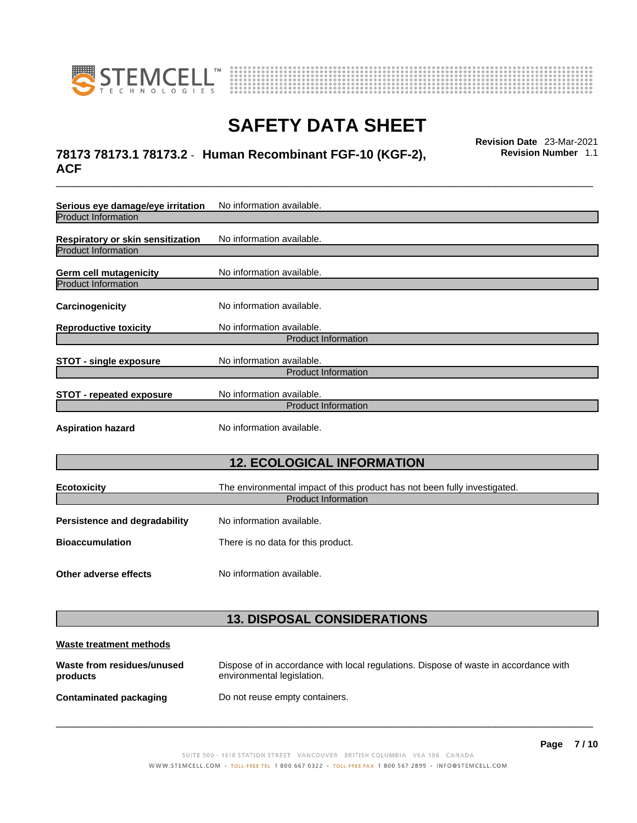

**products** 



# **SAFETY DATA SHEET**

## \_\_\_\_\_\_\_\_\_\_\_\_\_\_\_\_\_\_\_\_\_\_\_\_\_\_\_\_\_\_\_\_\_\_\_\_\_\_\_\_\_\_\_\_\_\_\_\_\_\_\_\_\_\_\_\_\_\_\_\_\_\_\_\_\_\_\_\_\_\_\_\_\_\_\_\_\_\_\_\_\_\_\_\_\_\_\_\_\_\_\_\_\_ **Revision Date** 23-Mar-2021 **78173 78173.1 78173.2** - **Human Recombinant FGF-10 (KGF-2), ACF**

**Revision Number** 1.1

| Serious eye damage/eye irritation<br><b>Product Information</b> | No information available.                                                                               |
|-----------------------------------------------------------------|---------------------------------------------------------------------------------------------------------|
| Respiratory or skin sensitization<br><b>Product Information</b> | No information available.                                                                               |
| Germ cell mutagenicity<br><b>Product Information</b>            | No information available.                                                                               |
| Carcinogenicity                                                 | No information available.                                                                               |
| <b>Reproductive toxicity</b>                                    | No information available.<br><b>Product Information</b>                                                 |
| <b>STOT - single exposure</b>                                   | No information available.<br><b>Product Information</b>                                                 |
| <b>STOT - repeated exposure</b>                                 | No information available.<br>Product Information                                                        |
| <b>Aspiration hazard</b>                                        | No information available.                                                                               |
|                                                                 | <b>12. ECOLOGICAL INFORMATION</b>                                                                       |
| <b>Ecotoxicity</b>                                              | The environmental impact of this product has not been fully investigated.<br><b>Product Information</b> |
| <b>Persistence and degradability</b>                            | No information available.                                                                               |
| <b>Bioaccumulation</b>                                          | There is no data for this product.                                                                      |
| Other adverse effects                                           | No information available.                                                                               |
|                                                                 | <b>13. DISPOSAL CONSIDERATIONS</b>                                                                      |
| <b>Waste treatment methods</b>                                  |                                                                                                         |
| Waste from residues/unused                                      | Dispose of in accordance with local regulations. Dispose of waste in accordance with                    |

environmental legislation.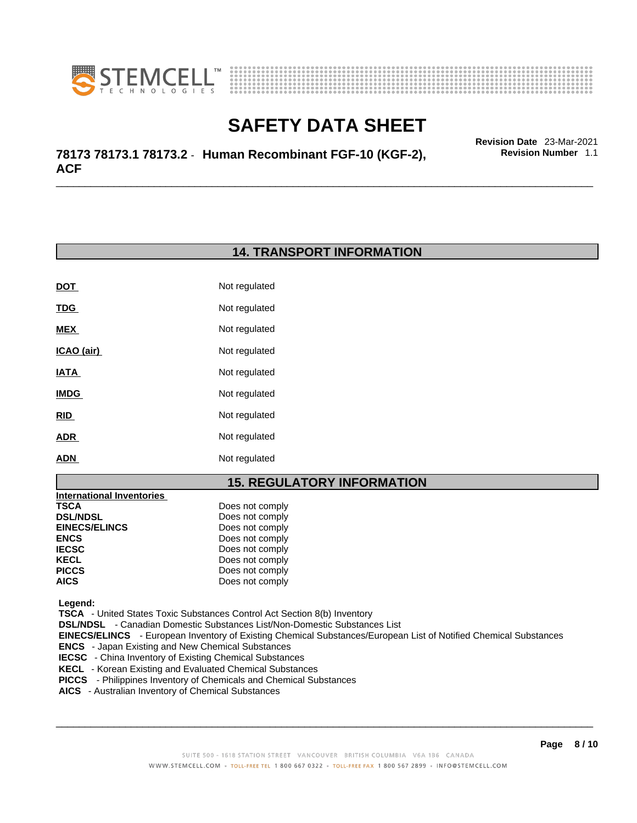



\_\_\_\_\_\_\_\_\_\_\_\_\_\_\_\_\_\_\_\_\_\_\_\_\_\_\_\_\_\_\_\_\_\_\_\_\_\_\_\_\_\_\_\_\_\_\_\_\_\_\_\_\_\_\_\_\_\_\_\_\_\_\_\_\_\_\_\_\_\_\_\_\_\_\_\_\_\_\_\_\_\_\_\_\_\_\_\_\_\_\_\_\_ **Revision Date** 23-Mar-2021 **78173 78173.1 78173.2** - **Human Recombinant FGF-10 (KGF-2), ACF** 

### **14. TRANSPORT INFORMATION**

| DOT         | Not regulated |
|-------------|---------------|
| <u>TDG</u>  | Not regulated |
| <b>MEX</b>  | Not regulated |
| ICAO (air)  | Not regulated |
| IATA        | Not regulated |
| <b>IMDG</b> | Not regulated |
| <b>RID</b>  | Not regulated |
| <b>ADR</b>  | Not regulated |
| <b>ADN</b>  | Not regulated |

### **15. REGULATORY INFORMATION**

| <b>International Inventories</b> |                 |  |
|----------------------------------|-----------------|--|
| TSCA                             | Does not comply |  |
| <b>DSL/NDSL</b>                  | Does not comply |  |
| <b>EINECS/ELINCS</b>             | Does not comply |  |
| <b>ENCS</b>                      | Does not comply |  |
| <b>IECSC</b>                     | Does not comply |  |
| KECL                             | Does not comply |  |
| <b>PICCS</b>                     | Does not comply |  |
| <b>AICS</b>                      | Does not comply |  |
|                                  |                 |  |

 **Legend:** 

 **TSCA** - United States Toxic Substances Control Act Section 8(b) Inventory

 **DSL/NDSL** - Canadian Domestic Substances List/Non-Domestic Substances List

 **EINECS/ELINCS** - European Inventory of Existing Chemical Substances/European List of Notified Chemical Substances

 **ENCS** - Japan Existing and New Chemical Substances

**IECSC** - China Inventory of Existing Chemical Substances

 **KECL** - Korean Existing and Evaluated Chemical Substances

 **PICCS** - Philippines Inventory of Chemicals and Chemical Substances

 **AICS** - Australian Inventory of Chemical Substances

 $\_$  ,  $\_$  ,  $\_$  ,  $\_$  ,  $\_$  ,  $\_$  ,  $\_$  ,  $\_$  ,  $\_$  ,  $\_$  ,  $\_$  ,  $\_$  ,  $\_$  ,  $\_$  ,  $\_$  ,  $\_$  ,  $\_$  ,  $\_$  ,  $\_$  ,  $\_$  ,  $\_$  ,  $\_$  ,  $\_$  ,  $\_$  ,  $\_$  ,  $\_$  ,  $\_$  ,  $\_$  ,  $\_$  ,  $\_$  ,  $\_$  ,  $\_$  ,  $\_$  ,  $\_$  ,  $\_$  ,  $\_$  ,  $\_$  ,

**Revision Number** 1.1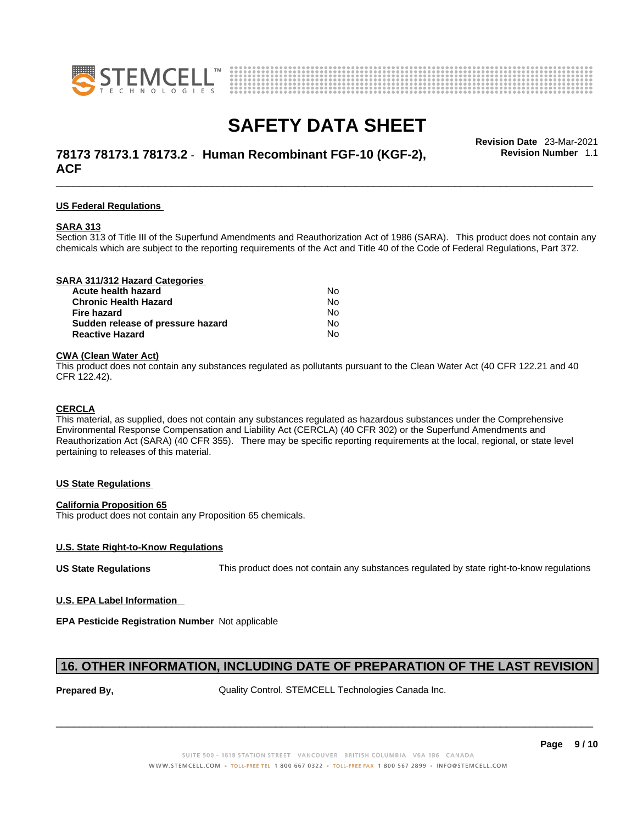



## \_\_\_\_\_\_\_\_\_\_\_\_\_\_\_\_\_\_\_\_\_\_\_\_\_\_\_\_\_\_\_\_\_\_\_\_\_\_\_\_\_\_\_\_\_\_\_\_\_\_\_\_\_\_\_\_\_\_\_\_\_\_\_\_\_\_\_\_\_\_\_\_\_\_\_\_\_\_\_\_\_\_\_\_\_\_\_\_\_\_\_\_\_ **Revision Date** 23-Mar-2021 **78173 78173.1 78173.2** - **Human Recombinant FGF-10 (KGF-2), ACF**

**Revision Number** 1.1

### **US Federal Regulations**

#### **SARA 313**

Section 313 of Title III of the Superfund Amendments and Reauthorization Act of 1986 (SARA). This product does not contain any chemicals which are subject to the reporting requirements of the Act and Title 40 of the Code of Federal Regulations, Part 372.

| SARA 311/312 Hazard Categories    |    |  |
|-----------------------------------|----|--|
| Acute health hazard               | Nο |  |
| <b>Chronic Health Hazard</b>      | Nο |  |
| Fire hazard                       | Nο |  |
| Sudden release of pressure hazard | No |  |

**Reactive Hazard** No

#### **CWA (Clean WaterAct)**

This product does not contain any substances regulated as pollutants pursuant to the Clean Water Act (40 CFR 122.21 and 40 CFR 122.42).

#### **CERCLA**

This material, as supplied, does not contain any substances regulated as hazardous substances under the Comprehensive Environmental Response Compensation and Liability Act (CERCLA) (40 CFR 302) or the Superfund Amendments and Reauthorization Act (SARA) (40 CFR 355). There may be specific reporting requirements at the local, regional, or state level pertaining to releases of this material.

### **US State Regulations**

### **California Proposition 65**

This product does not contain any Proposition 65 chemicals.

### **U.S. State Right-to-Know Regulations**

**US State Regulations** This product does not contain any substances regulated by state right-to-know regulations

### **U.S. EPA Label Information**

**EPA Pesticide Registration Number** Not applicable

### **16. OTHER INFORMATION, INCLUDING DATE OF PREPARATION OF THE LAST REVISION**

**Prepared By, The Control Control. STEMCELL Technologies Canada Inc.**